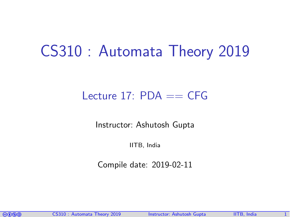# CS310 : Automata Theory 2019

### Lecture 17:  $PDA == CFG$

Instructor: [Ashutosh Gupta](http://www.cse.iitb.ac.in/~akg/)

IITB, India

Compile date: 2019-02-11

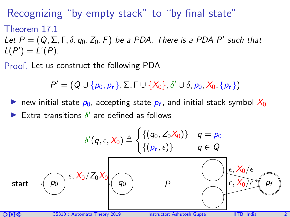### Recognizing "by empty stack" to "by final state"

### Theorem 17.1

Let  $P = (Q, \Sigma, \Gamma, \delta, q_0, Z_0, F)$  be a PDA. There is a PDA P' such that  $L(P') = L^{\epsilon}(P).$ 

Proof. Let us construct the following PDA

 $P' = (Q \cup \{p_0, p_f\}, \Sigma, \Gamma \cup \{X_0\}, \delta' \cup \delta, p_0, X_0, \{p_f\})$ 

new initial state  $p_0$ , accepting state  $p_f$ , and initial stack symbol  $X_0$ Extra transitions  $\delta'$  are defined as follows

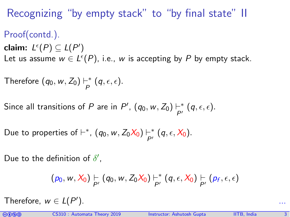## Recognizing "by empty stack" to "by final state" II

Proof(contd.). claim:  $L^{\epsilon}(P) \subseteq L(P')$ Let us assume  $w \in L^{\epsilon}(P)$ , i.e., w is accepting by P by empty stack.

Therefore  $(q_0, w, Z_0) \vdash^*$  $_{P}^{-*}$   $(q, \epsilon, \epsilon).$ 

Since all transitions of P are in P',  $(q_0, w, Z_0) \vdash^*_{\mathsf{N}}$  $\vdash^*_{P'}(q, \epsilon, \epsilon).$ 

Due to properties of  $\vdash^*$ ,  $(q_0, w, Z_0X_0) \vdash^*_{\mathsf{N}}$  $\vdash^*_{P'}(q, \epsilon, X_0).$ 

Due to the definition of  $\delta'$ ,

$$
(p_0, w, X_0) \underset{P'}{\vdash} (q_0, w, Z_0 X_0) \underset{P'}{\vdash}^* (q, \epsilon, X_0) \underset{P'}{\vdash} (p_f, \epsilon, \epsilon)
$$

Therefore,  $w \in L(P^{\prime})$ ). ...

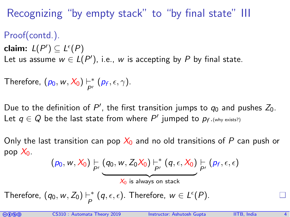## Recognizing "by empty stack" to "by final state" III

Proof(contd.). claim:  $L(P') \subseteq L^{\epsilon}(P)$ Let us assume  $w \in L(P')$ , i.e., w is accepting by P by final state.

Therefore,  $(p_0, w, X_0) \vdash^*_{\alpha'}$  $\vdash^*_{P'} (\rho_f, \epsilon, \gamma).$ 

Due to the definition of P', the first transition jumps to  $q_0$  and pushes  $Z_0$ . Let  $q \in Q$  be the last state from where  $P'$  jumped to  $p_{f \cdot (\text{why exists?})}$ 

Only the last transition can pop  $X_0$  and no old transitions of P can push or pop  $X_0$ .

$$
(p_0, w, X_0) \vdash_{P'} (q_0, w, Z_0 X_0) \vdash_{P'}^* (q, \epsilon, X_0) \vdash_{P'} (p_f, \epsilon, \epsilon)
$$
  

$$
X_0 \text{ is always on stack}
$$

Therefore,  $(q_0, w, Z_0) \vdash^*$  $\frac{1}{P}^*(q, \epsilon, \epsilon)$ . Therefore,  $w \in L^{\epsilon}(P)$ .

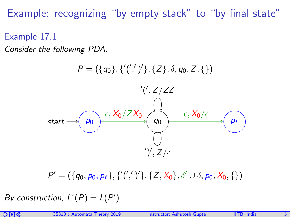Example: recognizing "by empty stack" to "by final state"

Example 17.1

Consider the following PDA.



 $P' = (\{q_0, p_0, p_f\}, \{''(','')'\}, \{Z, X_0\}, \delta' \cup \delta, p_0, X_0, \{\})$ 

By construction,  $L^{\epsilon}(P) = L(P')$ .

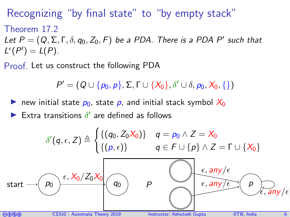Recognizing "by final state" to "by empty stack" Theorem 17.2 Let  $P = (Q, \Sigma, \Gamma, \delta, q_0, Z_0, F)$  be a PDA. There is a PDA P' such that  $L^{\epsilon}(P') = L(P).$ 

Proof. Let us construct the following PDA

$$
P' = (Q \cup \{p_0, p\}, \Sigma, \Gamma \cup \{X_0\}, \delta' \cup \delta, p_0, X_0, \{\})
$$

new initial state  $p_0$ , state p, and initial stack symbol  $X_0$ 

Extra transitions  $\delta'$  are defined as follows

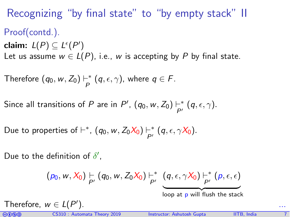# Recognizing "by final state" to "by empty stack" II Proof(contd.). claim:  $L(P) \subseteq L^{\epsilon}(P')$ Let us assume  $w \in L(P)$ , i.e., w is accepting by P by final state.

Therefore  $(q_0, w, Z_0) \vdash^*$  $\frac{1}{P}^*$   $(q, \epsilon, \gamma)$ , where  $q \in F$ .

Since all transitions of P are in P',  $(q_0, w, Z_0) \vdash^*_{\sim}$  $\vdash^*_{P'}(q, \epsilon, \gamma).$ 

Due to properties of  $\vdash^*$ ,  $(q_0, w, Z_0X_0) \vdash^*_{\mathsf{N}}$  $\vdash^*_{P'}(q, \epsilon, \gamma X_0).$ 

Due to the definition of  $\delta'$ ,

$$
(p_0, w, X_0) \underset{P'}{\vdash} (q_0, w, Z_0 X_0) \underset{P'}{\vdash}^* (q, \epsilon, \gamma X_0) \underset{P'}{\vdash}^* (p, \epsilon, \epsilon)
$$

loop at p will flush the stack

Therefore,  $w \in L(P^{\prime})$ ). ...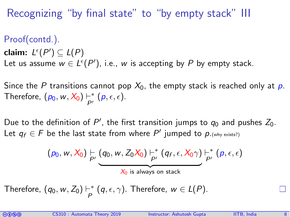Recognizing "by final state" to "by empty stack" III

Proof(contd.). claim:  $L^{\epsilon}(P') \subseteq L(P)$ Let us assume  $w \in L^{\epsilon}(P'),$  i.e., w is accepting by P by empty stack.

Since the P transitions cannot pop  $X_0$ , the empty stack is reached only at p. Therefore,  $(p_0, w, X_0) \vdash^*$  $\vdash^*_{P'} (p, \epsilon, \epsilon).$ 

Due to the definition of P', the first transition jumps to  $q_0$  and pushes  $Z_0$ . Let  $q_f \in F$  be the last state from where  $P'$  jumped to  $p_{\cdot(\text{why exists?})}$ 

$$
(p_0, w, X_0) \vdash_{P'} (q_0, w, Z_0 X_0) \vdash_{P'}^* (q_f, \epsilon, X_0 \gamma) \vdash_{P'}^* (p, \epsilon, \epsilon)
$$
  

$$
X_0
$$
 is always on stack

Therefore,  $(q_0, w, Z_0) \vdash^*$  $\frac{1}{P}^*(q, \epsilon, \gamma)$ . Therefore,  $w \in L(P)$ .

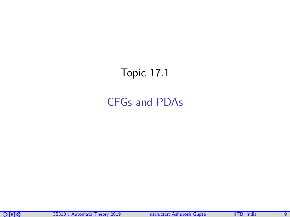# <span id="page-8-0"></span>Topic 17.1

### [CFGs and PDAs](#page-8-0)

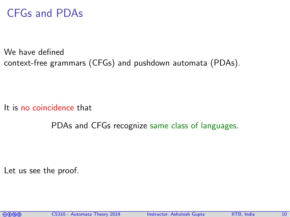### CFGs and PDAs

We have defined context-free grammars (CFGs) and pushdown automata (PDAs).

It is no coincidence that

PDAs and CFGs recognize same class of languages.

Let us see the proof.

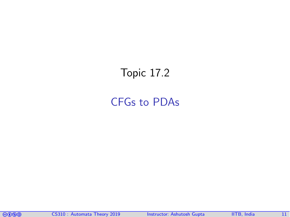# <span id="page-10-0"></span>Topic 17.2

### [CFGs to PDAs](#page-10-0)

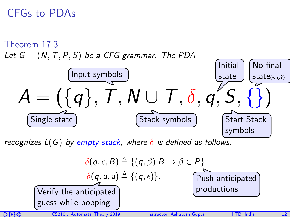### CFGs to PDAs



recognizes  $L(G)$  by empty stack, where  $\delta$  is defined as follows.

$$
\delta(q, \epsilon, B) \triangleq \{ (q, \beta) | B \rightarrow \beta \in P \}
$$
\n
$$
\delta(q, a, a) \triangleq \{ (q, \epsilon) \}.
$$
\nVerify the anticipated  
\nguess while popping\n\n

| 0000 | CS310 : Automatic |
|------|-------------------|
| 0000 | CS310 : Automatic |

\nAnswer: Ashutsch Gupta

\n

| 0000 | 11TB, India | 12 |
|------|-------------|----|
|------|-------------|----|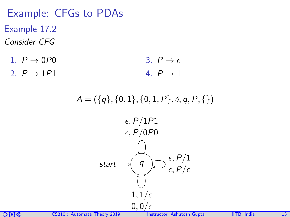Example: CFGs to PDAs Example 17.2 Consider CFG

- 1.  $P \rightarrow 0P0$ 2.  $P \rightarrow 1P1$ 3.  $P \rightarrow \epsilon$ 4.  $P \rightarrow 1$ 
	- $A = (\{q\}, \{0, 1\}, \{0, 1, P\}, \delta, q, P, \{\})$



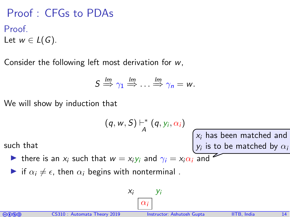Proof : CFGs to PDAs Proof. Let  $w \in L(G)$ .

Consider the following left most derivation for w,

$$
S \stackrel{\text{lm}}{\Rightarrow} \gamma_1 \stackrel{\text{lm}}{\Rightarrow} \ldots \stackrel{\text{lm}}{\Rightarrow} \gamma_n = w.
$$

We will show by induction that

$$
(q, w, S) \vdash^*_{A} (q, y_i, \alpha_i)
$$

such that

In there is an  $x_i$  such that  $w = x_i y_i$  and  $\gamma_i = x_i \alpha_i$  and

If  $\alpha_i \neq \epsilon$ , then  $\alpha_i$  begins with nonterminal.

$$
x_i \frac{y_i}{\left|\alpha_i\right|}
$$



 $x_i$  has been matched and  $y_i$  is to be matched by  $\alpha_i$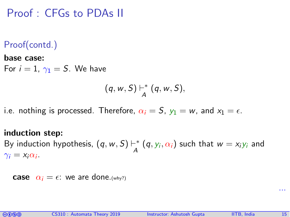### Proof : CFGs to PDAs II

### Proof(contd.)

#### base case:

For  $i = 1$ ,  $\gamma_1 = S$ . We have

$$
(q, w, S) \vdash_A^* (q, w, S),
$$

i.e. nothing is processed. Therefore,  $\alpha_i = S$ ,  $y_1 = w$ , and  $x_1 = \epsilon$ .

#### induction step:

By induction hypothesis,  $(q, w, S) \vdash^*$  $\mathcal{A}^{\mathbf{+}}\left(q,\mathit{y}_{i},\alpha_{i}\right)$  such that  $\mathit{w}=\mathit{x}_{i}\mathit{y}_{i}$  and  $\gamma_i = x_i \alpha_i$ .

**case**  $\alpha_i = \epsilon$ : we are done. (why?)



...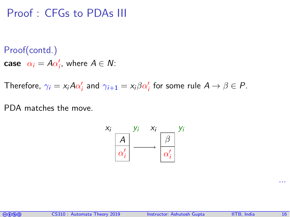### Proof : CFGs to PDAs III

Proof(contd.)

**case**  $\alpha_i = A\alpha'_i$ , where  $A \in \mathcal{N}$ :

Therefore,  $\gamma_i = \chi_i A \alpha'_i$  and  $\gamma_{i+1} = \chi_i \beta \alpha'_i$  for some rule  $A \rightarrow \beta \in P$ .

PDA matches the move.



...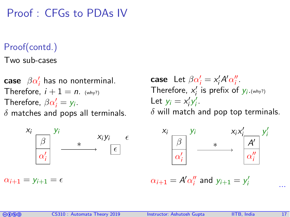Proof : CFGs to PDAs IV

### Proof(contd.)

Two sub-cases

case  $\ \beta \alpha_i'$  has no nonterminal. Therefore,  $i + 1 = n$ . (why?) Therefore,  $\beta \alpha'_i = y_i$ .  $\delta$  matches and pops all terminals.



 $\alpha_{i+1} = \gamma_{i+1} = \epsilon$ 

case Let  $\beta \alpha'_i = x'_i A' \alpha''_i$ . Therefore,  $x'_i$  is prefix of  $y_i$ . (why?) Let  $y_i = x'_i y'_i$ .  $\delta$  will match and pop top terminals.



 $\alpha_{i+1} = A' \alpha''_i$  and  $y_{i+1} = y'_i$  $i$  ...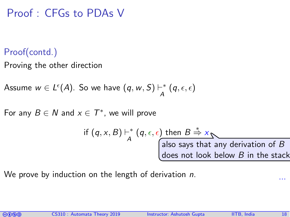### Proof : CFGs to PDAs V

### Proof(contd.)

Proving the other direction

Assume  $w \in L^{\epsilon}(A)$ . So we have  $(q, w, S) \vdash^*_{A}$  $\stackrel{-*}{\mathcal{A}}(q, \epsilon, \epsilon)$ 

For any  $B \in N$  and  $x \in T^*$ , we will prove

if 
$$
(q, x, B) \mapsto (q, \epsilon, \epsilon)
$$
 then  $B \stackrel{*}{\Rightarrow} x$   
also says that any derivation of B  
does not look below B in the stack

We prove by induction on the length of derivation n.



...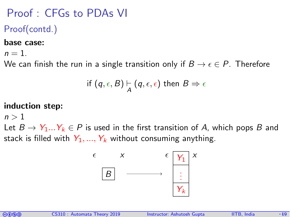# Proof : CFGs to PDAs VI

Proof(contd.)

#### base case:

 $n=1$ .

We can finish the run in a single transition only if  $B \to \epsilon \in P$ . Therefore

$$
\text{if } (q, \epsilon, B) \models_{A} (q, \epsilon, \epsilon) \text{ then } B \Rightarrow \epsilon
$$

### induction step:

 $n > 1$ 

Let  $B \to Y_1...Y_k \in P$  is used in the first transition of A, which pops B and stack is filled with  $Y_1, ..., Y_k$  without consuming anything.





...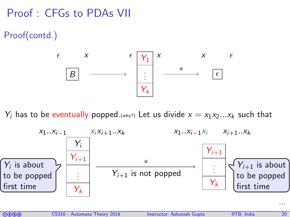# Proof : CFGs to PDAs VII

Proof(contd.)



 $Y_i$  has to be eventually popped.(why?) Let us divide  $x = x_1x_2...x_k$  such that



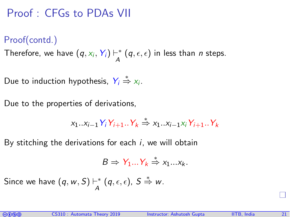# Proof : CFGs to PDAs VII

### Proof(contd.)

Therefore, we have  $(q, x_i, Y_i) \vdash^*_A$  $\mathcal{A}^{-*}(q, \epsilon, \epsilon)$  in less than *n* steps.

Due to induction hypothesis,  $Y_i \stackrel{*}{\Rightarrow} X_i$ .

Due to the properties of derivations,

$$
x_1..x_{i-1}Y_iY_{i+1}..Y_k \stackrel{*}{\Rightarrow} x_1..x_{i-1}x_iY_{i+1}..Y_k
$$

By stitching the derivations for each  $i$ , we will obtain

$$
B \Rightarrow Y_1...Y_k \stackrel{*}{\Rightarrow} x_1...x_k.
$$

Since we have  $(q, w, S) \vdash^*$  $_{A}^{-*}$   $(q, \epsilon, \epsilon)$ ,  $S \stackrel{*}{\Rightarrow} w$ .